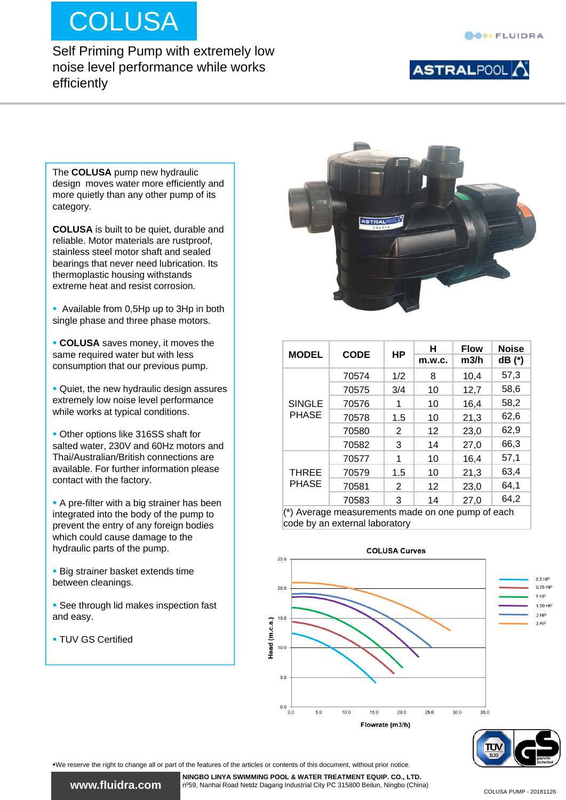# **COLUSA**

efficiently

Self Priming Pump with extremely low noise level performance while works

#### ASTRALPOOL<sup>1</sup>

The **COLUSA** pump new hydraulic design moves water more efficiently and more quietly than any other pump of its category.

**COLUSA** is built to be quiet, durable and reliable. Motor materials are rustproof, stainless steel motor shaft and sealed bearings that never need lubrication. Its thermoplastic housing withstands extreme heat and resist corrosion.

Available from 0,5Hp up to 3Hp in both single phase and three phase motors.

 **COLUSA** saves money, it moves the same required water but with less consumption that our previous pump.

 Quiet, the new hydraulic design assures extremely low noise level performance while works at typical conditions.

 Other options like 316SS shaft for salted water, 230V and 60Hz motors and Thai/Australian/British connections are available. For further information please contact with the factory.

**A** pre-filter with a big strainer has been integrated into the body of the pump to prevent the entry of any foreign bodies which could cause damage to the hydraulic parts of the pump.

**Big strainer basket extends time** between cleanings.

**See through lid makes inspection fast** and easy.

**TUV GS Certified** 



|               |                                                               |                                                           | н      | <b>Flow</b> | <b>Noise</b> |
|---------------|---------------------------------------------------------------|-----------------------------------------------------------|--------|-------------|--------------|
| <b>MODEL</b>  | <b>CODE</b>                                                   | НP                                                        | m.w.c. | m3/h        | dB (*)       |
|               | 70574                                                         | 1/2                                                       | 8      | 10,4        | 57,3         |
|               | 70575                                                         | 12,7<br>3/4<br>10<br>16,4<br>10<br>1<br>21,3<br>1.5<br>10 | 58,6   |             |              |
| <b>SINGLE</b> | 70576                                                         |                                                           |        |             | 58,2         |
| <b>PHASE</b>  | 70578                                                         |                                                           |        |             | 62,6         |
|               | 70580                                                         | 2                                                         | 12     | 23,0        | 62,9         |
|               | 70582                                                         | 3                                                         | 14     | 27,0        | 66,3         |
|               | 70577                                                         | 1                                                         | 10     | 16,4        | 57,1         |
| <b>THREE</b>  | 70579                                                         | 1.5                                                       | 10     | 21,3        | 63,4         |
| <b>PHASE</b>  | 70581                                                         | $\overline{2}$                                            | 12     | 23,0        | 64,1         |
|               | 70583                                                         | 3                                                         | 14     | 27,0        | 64,2         |
|               | $\frac{1}{2}$ ) Average measurements made an ano pump of each |                                                           |        |             |              |

(\*) Average measurements made on one pump of each code by an external laboratory



We reserve the right to change all or part of the features of the articles or contents of this document, without prior notice.

**www.fluidra.com www.fluidra.com**

**NINGBO LINYA SWIMMING POOL & WATER TREATMENT EQUIP. CO., LTD.** nº59, Nanhai Road Netdz Dagang Industrial City PC 315800 Beilun, Ningbo (China)